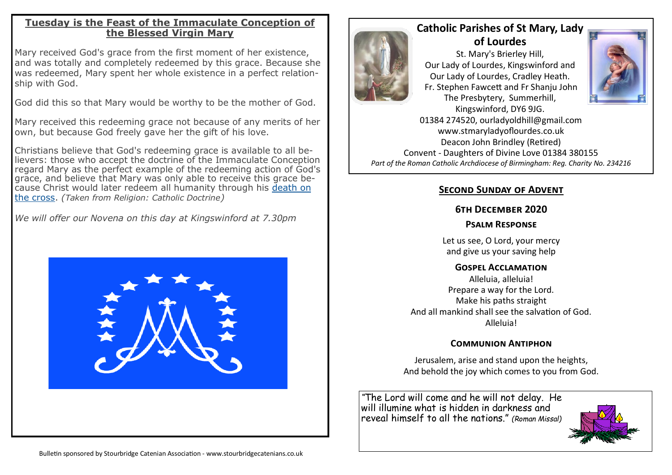#### **Tuesday is the Feast of the Immaculate Conception of the Blessed Virgin Mary**

Mary received God's grace from the first moment of her existence, and was totally and completely redeemed by this grace. Because she was redeemed, Mary spent her whole existence in a perfect relationship with God.

God did this so that Mary would be worthy to be the mother of God.

Mary received this redeeming grace not because of any merits of her own, but because God freely gave her the gift of his love.

Christians believe that God's redeeming grace is available to all believers: those who accept the doctrine of the Immaculate Conception regard Mary as the perfect example of the redeeming action of God's grace, and believe that Mary was only able to receive this grace because Christ would later redeem all humanity through his [death on](https://www.bbc.co.uk/religion/religions/christianity/history/passionofchrist_1.shtml)  [the cross.](https://www.bbc.co.uk/religion/religions/christianity/history/passionofchrist_1.shtml) *(Taken from Religion: Catholic Doctrine)*

*We will offer our Novena on this day at Kingswinford at 7.30pm*





# **Catholic Parishes of St Mary, Lady of Lourdes**

St. Mary's Brierley Hill, Our Lady of Lourdes, Kingswinford and Our Lady of Lourdes, Cradley Heath. Fr. Stephen Fawcett and Fr Shanju John The Presbytery, Summerhill, Kingswinford, DY6 9JG.



01384 274520, ourladyoldhill@gmail.com www.stmaryladyoflourdes.co.uk Deacon John Brindley (Retired) Convent - Daughters of Divine Love 01384 380155 *Part of the Roman Catholic Archdiocese of Birmingham: Reg. Charity No. 234216*

## **Second Sunday of Advent**

#### **6th December 2020**

#### **Psalm Response**

Let us see, O Lord, your mercy and give us your saving help

#### **Gospel Acclamation**

Alleluia, alleluia! Prepare a way for the Lord. Make his paths straight And all mankind shall see the salvation of God. Alleluia!

### **Communion Antiphon**

Jerusalem, arise and stand upon the heights, And behold the joy which comes to you from God.

*"*The Lord will come and he will not delay. He will illumine what is hidden in darkness and reveal himself to all the nations." *(Roman Missal)*